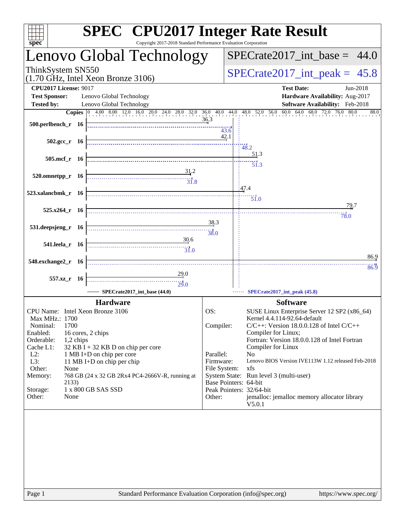| $spec^*$                                                                  |                       | <b>SPEC<sup>®</sup></b> CPU2017 Integer Rate Result<br>Copyright 2017-2018 Standard Performance Evaluation Corporation |           |                                                                                                                                                                |
|---------------------------------------------------------------------------|-----------------------|------------------------------------------------------------------------------------------------------------------------|-----------|----------------------------------------------------------------------------------------------------------------------------------------------------------------|
| Lenovo Global Technology                                                  |                       |                                                                                                                        |           | $SPECrate2017\_int\_base = 44.0$                                                                                                                               |
| ThinkSystem SN550<br>$(1.70 \text{ GHz}, \text{Intel Xeon Bronze } 3106)$ |                       |                                                                                                                        |           | $SPECrate2017\_int\_peak = 45.8$                                                                                                                               |
| <b>CPU2017 License: 9017</b><br><b>Test Sponsor:</b>                      |                       | Lenovo Global Technology                                                                                               |           | <b>Test Date:</b><br>Jun-2018<br>Hardware Availability: Aug-2017                                                                                               |
| <b>Tested by:</b>                                                         |                       | Lenovo Global Technology                                                                                               |           | Software Availability: Feb-2018<br><b>Copies</b> 0 4.00 8.00 12.0 16.0 20.0 24.0 28.0 32.0 36.0 40.0 44.0 48.0 52.0 56.0 60.0 64.0 68.0 72.0 76.0 80.0<br>88.0 |
| 500.perlbench_r 16                                                        |                       |                                                                                                                        | 36.3      | 43.6                                                                                                                                                           |
|                                                                           | $502.\text{gcc r}$ 16 |                                                                                                                        |           | 42.1<br>$-48.2$                                                                                                                                                |
|                                                                           | 505.mcf r 16          |                                                                                                                        |           | 51.3<br>$\overline{51.3}$                                                                                                                                      |
| $520.0$ mnetpp_r 16                                                       |                       | $\frac{31}{2}$                                                                                                         |           |                                                                                                                                                                |
| 523.xalancbmk_r 16                                                        |                       |                                                                                                                        |           | 47.4<br>$\overline{51.0}$                                                                                                                                      |
|                                                                           | $525.x264$ r 16       |                                                                                                                        |           | 79.7<br>78.0                                                                                                                                                   |
| 531.deepsjeng_r 16                                                        |                       |                                                                                                                        | 38.3      |                                                                                                                                                                |
|                                                                           |                       | 30.6                                                                                                                   |           |                                                                                                                                                                |
|                                                                           | 541.leela r 16        | $\frac{1}{31.0}$                                                                                                       |           | 86.9                                                                                                                                                           |
| 548.exchange2_r 16                                                        |                       |                                                                                                                        |           | 86.9                                                                                                                                                           |
|                                                                           | 557.xz_r 16           | 29.0<br>$\overbrace{29.0}$                                                                                             |           |                                                                                                                                                                |
|                                                                           |                       | SPECrate2017_int_base (44.0)                                                                                           |           | SPECrate2017_int_peak (45.8)                                                                                                                                   |
|                                                                           |                       | <b>Hardware</b>                                                                                                        |           | <b>Software</b>                                                                                                                                                |
| Max MHz.: 1700                                                            |                       | CPU Name: Intel Xeon Bronze 3106                                                                                       | OS:       | SUSE Linux Enterprise Server 12 SP2 (x86_64)<br>Kernel 4.4.114-92.64-default                                                                                   |
| Nominal:<br>Enabled:                                                      | 1700                  | 16 cores, 2 chips                                                                                                      | Compiler: | $C/C++$ : Version 18.0.0.128 of Intel $C/C++$<br>Compiler for Linux;                                                                                           |
| Orderable:                                                                | 1,2 chips             |                                                                                                                        |           | Fortran: Version 18.0.0.128 of Intel Fortran                                                                                                                   |
| Cache L1:<br>$L2$ :                                                       |                       | $32$ KB I + 32 KB D on chip per core<br>1 MB I+D on chip per core                                                      | Parallel: | Compiler for Linux<br>N <sub>o</sub>                                                                                                                           |
| L3:<br>Other:                                                             | None                  | 11 MB I+D on chip per chip                                                                                             | Firmware: | Lenovo BIOS Version IVE113W 1.12 released Feb-2018<br>File System:<br>xfs                                                                                      |
| Memory:                                                                   |                       | 768 GB (24 x 32 GB 2Rx4 PC4-2666V-R, running at                                                                        |           | System State: Run level 3 (multi-user)<br>Base Pointers: 64-bit                                                                                                |
| Storage:<br>Other:                                                        | 2133)<br>None         | 1 x 800 GB SAS SSD                                                                                                     | Other:    | Peak Pointers: 32/64-bit<br>jemalloc: jemalloc memory allocator library<br>V5.0.1                                                                              |
|                                                                           |                       |                                                                                                                        |           |                                                                                                                                                                |
|                                                                           |                       |                                                                                                                        |           |                                                                                                                                                                |
|                                                                           |                       |                                                                                                                        |           |                                                                                                                                                                |
|                                                                           |                       |                                                                                                                        |           |                                                                                                                                                                |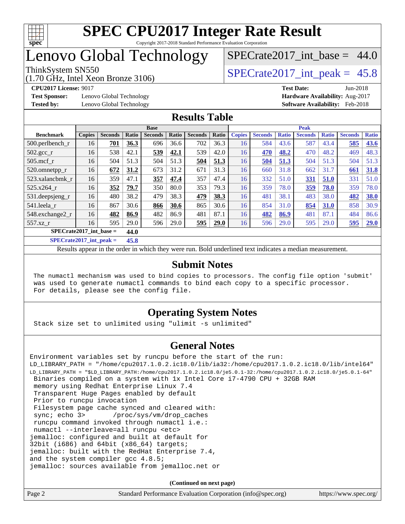

## Lenovo Global Technology

(1.70 GHz, Intel Xeon Bronze 3106)

ThinkSystem SN550  $SPECrate2017$  int peak = 45.8

SPECrate2017 int\_base =  $44.0$ 

**[Test Sponsor:](http://www.spec.org/auto/cpu2017/Docs/result-fields.html#TestSponsor)** Lenovo Global Technology **[Hardware Availability:](http://www.spec.org/auto/cpu2017/Docs/result-fields.html#HardwareAvailability)** Aug-2017

**[CPU2017 License:](http://www.spec.org/auto/cpu2017/Docs/result-fields.html#CPU2017License)** 9017 **[Test Date:](http://www.spec.org/auto/cpu2017/Docs/result-fields.html#TestDate)** Jun-2018 **[Tested by:](http://www.spec.org/auto/cpu2017/Docs/result-fields.html#Testedby)** Lenovo Global Technology **[Software Availability:](http://www.spec.org/auto/cpu2017/Docs/result-fields.html#SoftwareAvailability)** Feb-2018

### **[Results Table](http://www.spec.org/auto/cpu2017/Docs/result-fields.html#ResultsTable)**

|                           | <b>Base</b>   |                |       |                | <b>Peak</b> |                |       |               |                |              |                |              |                |              |
|---------------------------|---------------|----------------|-------|----------------|-------------|----------------|-------|---------------|----------------|--------------|----------------|--------------|----------------|--------------|
| <b>Benchmark</b>          | <b>Copies</b> | <b>Seconds</b> | Ratio | <b>Seconds</b> | Ratio       | <b>Seconds</b> | Ratio | <b>Copies</b> | <b>Seconds</b> | <b>Ratio</b> | <b>Seconds</b> | <b>Ratio</b> | <b>Seconds</b> | <b>Ratio</b> |
| $500.$ perlbench r        | 16            | 701            | 36.3  | 696            | 36.6        | 702            | 36.3  | 16            | 584            | 43.6         | 587            | 43.4         | 585            | 43.6         |
| 502.gcc_r                 | 16            | 538            | 42.1  | 539            | 42.1        | 539            | 42.0  | 16            | 470            | 48.2         | 470            | 48.2         | 469            | 48.3         |
| $505$ .mcf r              | 16            | 504            | 51.3  | 504            | 51.3        | 504            | 51.3  | 16            | 504            | 51.3         | 504            | 51.3         | 504            | 51.3         |
| 520.omnetpp_r             | 16            | 672            | 31.2  | 673            | 31.2        | 671            | 31.3  | 16            | 660            | 31.8         | 662            | 31.7         | 661            | 31.8         |
| 523.xalancbmk_r           | 16            | 359            | 47.1  | 357            | 47.4        | 357            | 47.4  | 16            | 332            | 51.0         | 331            | 51.0         | 331            | 51.0         |
| 525.x264 r                | 16            | 352            | 79.7  | 350            | 80.0        | 353            | 79.3  | 16            | 359            | 78.0         | 359            | 78.0         | 359            | 78.0         |
| 531.deepsjeng_r           | 16            | 480            | 38.2  | 479            | 38.3        | 479            | 38.3  | 16            | 481            | 38.1         | 483            | 38.0         | 482            | 38.0         |
| 541.leela r               | 16            | 867            | 30.6  | 866            | 30.6        | 865            | 30.6  | 16            | 854            | 31.0         | 854            | 31.0         | 858            | 30.9         |
| 548.exchange2_r           | 16            | 482            | 86.9  | 482            | 86.9        | 481            | 87.1  | 16            | 482            | 86.9         | 481            | 87.1         | 484            | 86.6         |
| 557.xz r                  | 16            | 595            | 29.0  | 596            | 29.0        | 595            | 29.0  | 16            | 596            | 29.0         | 595            | 29.0         | 595            | 29.0         |
| $SPECrate2017$ int base = |               |                | 44.0  |                |             |                |       |               |                |              |                |              |                |              |

**[SPECrate2017\\_int\\_peak =](http://www.spec.org/auto/cpu2017/Docs/result-fields.html#SPECrate2017intpeak) 45.8**

Results appear in the [order in which they were run](http://www.spec.org/auto/cpu2017/Docs/result-fields.html#RunOrder). Bold underlined text [indicates a median measurement](http://www.spec.org/auto/cpu2017/Docs/result-fields.html#Median).

### **[Submit Notes](http://www.spec.org/auto/cpu2017/Docs/result-fields.html#SubmitNotes)**

 The numactl mechanism was used to bind copies to processors. The config file option 'submit' was used to generate numactl commands to bind each copy to a specific processor. For details, please see the config file.

### **[Operating System Notes](http://www.spec.org/auto/cpu2017/Docs/result-fields.html#OperatingSystemNotes)**

Stack size set to unlimited using "ulimit -s unlimited"

### **[General Notes](http://www.spec.org/auto/cpu2017/Docs/result-fields.html#GeneralNotes)**

Environment variables set by runcpu before the start of the run: LD\_LIBRARY\_PATH = "/home/cpu2017.1.0.2.ic18.0/lib/ia32:/home/cpu2017.1.0.2.ic18.0/lib/intel64" LD\_LIBRARY\_PATH = "\$LD\_LIBRARY\_PATH:/home/cpu2017.1.0.2.ic18.0/je5.0.1-32:/home/cpu2017.1.0.2.ic18.0/je5.0.1-64" Binaries compiled on a system with 1x Intel Core i7-4790 CPU + 32GB RAM memory using Redhat Enterprise Linux 7.4 Transparent Huge Pages enabled by default Prior to runcpu invocation Filesystem page cache synced and cleared with: sync; echo 3> /proc/sys/vm/drop\_caches runcpu command invoked through numactl i.e.: numactl --interleave=all runcpu <etc> jemalloc: configured and built at default for 32bit (i686) and 64bit (x86\_64) targets; jemalloc: built with the RedHat Enterprise 7.4, and the system compiler gcc 4.8.5; jemalloc: sources available from jemalloc.net or

**(Continued on next page)**

| Page 2<br>Standard Performance Evaluation Corporation (info@spec.org)<br>https://www.spec.org/ |  |
|------------------------------------------------------------------------------------------------|--|
|------------------------------------------------------------------------------------------------|--|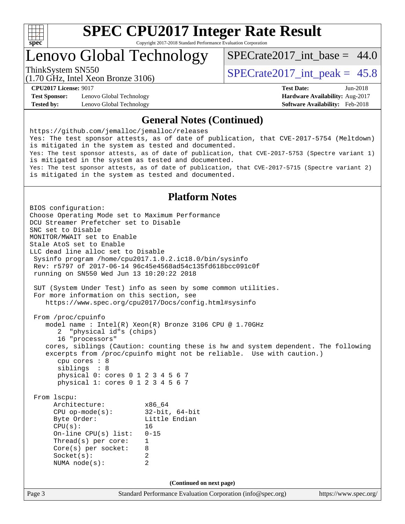

## Lenovo Global Technology

SPECrate2017 int\_base =  $44.0$ 

(1.70 GHz, Intel Xeon Bronze 3106)

ThinkSystem SN550  $SPECrate2017$  int peak = 45.8

**[Test Sponsor:](http://www.spec.org/auto/cpu2017/Docs/result-fields.html#TestSponsor)** Lenovo Global Technology **[Hardware Availability:](http://www.spec.org/auto/cpu2017/Docs/result-fields.html#HardwareAvailability)** Aug-2017 **[Tested by:](http://www.spec.org/auto/cpu2017/Docs/result-fields.html#Testedby)** Lenovo Global Technology **[Software Availability:](http://www.spec.org/auto/cpu2017/Docs/result-fields.html#SoftwareAvailability)** Feb-2018

**[CPU2017 License:](http://www.spec.org/auto/cpu2017/Docs/result-fields.html#CPU2017License)** 9017 **[Test Date:](http://www.spec.org/auto/cpu2017/Docs/result-fields.html#TestDate)** Jun-2018

### **[General Notes \(Continued\)](http://www.spec.org/auto/cpu2017/Docs/result-fields.html#GeneralNotes)**

<https://github.com/jemalloc/jemalloc/releases> Yes: The test sponsor attests, as of date of publication, that CVE-2017-5754 (Meltdown) is mitigated in the system as tested and documented. Yes: The test sponsor attests, as of date of publication, that CVE-2017-5753 (Spectre variant 1) is mitigated in the system as tested and documented. Yes: The test sponsor attests, as of date of publication, that CVE-2017-5715 (Spectre variant 2) is mitigated in the system as tested and documented.

### **[Platform Notes](http://www.spec.org/auto/cpu2017/Docs/result-fields.html#PlatformNotes)**

Page 3 Standard Performance Evaluation Corporation [\(info@spec.org\)](mailto:info@spec.org) <https://www.spec.org/> BIOS configuration: Choose Operating Mode set to Maximum Performance DCU Streamer Prefetcher set to Disable SNC set to Disable MONITOR/MWAIT set to Enable Stale AtoS set to Enable LLC dead line alloc set to Disable Sysinfo program /home/cpu2017.1.0.2.ic18.0/bin/sysinfo Rev: r5797 of 2017-06-14 96c45e4568ad54c135fd618bcc091c0f running on SN550 Wed Jun 13 10:20:22 2018 SUT (System Under Test) info as seen by some common utilities. For more information on this section, see <https://www.spec.org/cpu2017/Docs/config.html#sysinfo> From /proc/cpuinfo model name : Intel(R) Xeon(R) Bronze 3106 CPU @ 1.70GHz 2 "physical id"s (chips) 16 "processors" cores, siblings (Caution: counting these is hw and system dependent. The following excerpts from /proc/cpuinfo might not be reliable. Use with caution.) cpu cores : 8 siblings : 8 physical 0: cores 0 1 2 3 4 5 6 7 physical 1: cores 0 1 2 3 4 5 6 7 From lscpu: Architecture: x86\_64 CPU op-mode(s): 32-bit, 64-bit Little Endian CPU(s): 16 On-line CPU(s) list: 0-15 Thread(s) per core: 1 Core(s) per socket: 8 Socket(s): 2 NUMA node(s): 2 **(Continued on next page)**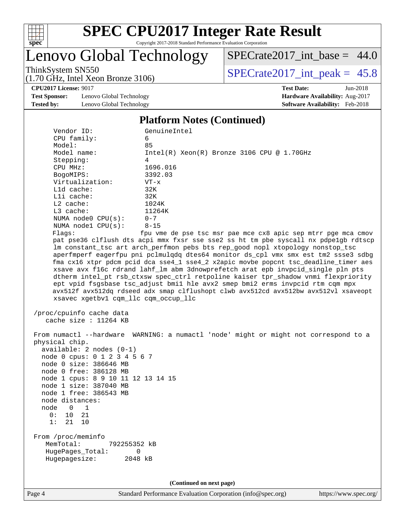

## Lenovo Global Technology

(1.70 GHz, Intel Xeon Bronze 3106)

 $SPECTate2017\_int\_base = 44.0$ 

ThinkSystem SN550<br>(1.70 GHz, Intel Year Bronze 3106) [SPECrate2017\\_int\\_peak =](http://www.spec.org/auto/cpu2017/Docs/result-fields.html#SPECrate2017intpeak)  $45.8$ 

**[CPU2017 License:](http://www.spec.org/auto/cpu2017/Docs/result-fields.html#CPU2017License)** 9017 **[Test Date:](http://www.spec.org/auto/cpu2017/Docs/result-fields.html#TestDate)** Jun-2018

**[Test Sponsor:](http://www.spec.org/auto/cpu2017/Docs/result-fields.html#TestSponsor)** Lenovo Global Technology **[Hardware Availability:](http://www.spec.org/auto/cpu2017/Docs/result-fields.html#HardwareAvailability)** Aug-2017 **[Tested by:](http://www.spec.org/auto/cpu2017/Docs/result-fields.html#Testedby)** Lenovo Global Technology **[Software Availability:](http://www.spec.org/auto/cpu2017/Docs/result-fields.html#SoftwareAvailability)** Feb-2018

### **[Platform Notes \(Continued\)](http://www.spec.org/auto/cpu2017/Docs/result-fields.html#PlatformNotes)**

| Vendor ID:                                                                                                                                                                                                                                                                                                     | GenuineIntel                                                                                                                                                                                                                                                                                                                                                                                                                                                                                                                                                                                                                                                                                                                                                         |
|----------------------------------------------------------------------------------------------------------------------------------------------------------------------------------------------------------------------------------------------------------------------------------------------------------------|----------------------------------------------------------------------------------------------------------------------------------------------------------------------------------------------------------------------------------------------------------------------------------------------------------------------------------------------------------------------------------------------------------------------------------------------------------------------------------------------------------------------------------------------------------------------------------------------------------------------------------------------------------------------------------------------------------------------------------------------------------------------|
| CPU family:                                                                                                                                                                                                                                                                                                    | 6                                                                                                                                                                                                                                                                                                                                                                                                                                                                                                                                                                                                                                                                                                                                                                    |
| Model:                                                                                                                                                                                                                                                                                                         | 85                                                                                                                                                                                                                                                                                                                                                                                                                                                                                                                                                                                                                                                                                                                                                                   |
| Model name:                                                                                                                                                                                                                                                                                                    | $Intel(R) Xeon(R) Bronze 3106 CPU @ 1.70GHz$                                                                                                                                                                                                                                                                                                                                                                                                                                                                                                                                                                                                                                                                                                                         |
| Stepping:                                                                                                                                                                                                                                                                                                      | 4                                                                                                                                                                                                                                                                                                                                                                                                                                                                                                                                                                                                                                                                                                                                                                    |
| CPU MHz:                                                                                                                                                                                                                                                                                                       | 1696.016                                                                                                                                                                                                                                                                                                                                                                                                                                                                                                                                                                                                                                                                                                                                                             |
| BogoMIPS:                                                                                                                                                                                                                                                                                                      | 3392.03                                                                                                                                                                                                                                                                                                                                                                                                                                                                                                                                                                                                                                                                                                                                                              |
| Virtualization:                                                                                                                                                                                                                                                                                                | $VT - x$                                                                                                                                                                                                                                                                                                                                                                                                                                                                                                                                                                                                                                                                                                                                                             |
| $L1d$ cache:                                                                                                                                                                                                                                                                                                   | 32K                                                                                                                                                                                                                                                                                                                                                                                                                                                                                                                                                                                                                                                                                                                                                                  |
| Lli cache:                                                                                                                                                                                                                                                                                                     | 32K                                                                                                                                                                                                                                                                                                                                                                                                                                                                                                                                                                                                                                                                                                                                                                  |
| $L2$ cache:                                                                                                                                                                                                                                                                                                    | 1024K                                                                                                                                                                                                                                                                                                                                                                                                                                                                                                                                                                                                                                                                                                                                                                |
| L3 cache:                                                                                                                                                                                                                                                                                                      | 11264K                                                                                                                                                                                                                                                                                                                                                                                                                                                                                                                                                                                                                                                                                                                                                               |
| NUMA $node0$ $CPU(s)$ :                                                                                                                                                                                                                                                                                        | $0 - 7$                                                                                                                                                                                                                                                                                                                                                                                                                                                                                                                                                                                                                                                                                                                                                              |
| NUMA nodel CPU(s):                                                                                                                                                                                                                                                                                             | $8 - 15$                                                                                                                                                                                                                                                                                                                                                                                                                                                                                                                                                                                                                                                                                                                                                             |
| Flagg:<br>xsavec xgetbvl cqm_llc cqm_occup_llc<br>/proc/cpuinfo cache data                                                                                                                                                                                                                                     | fpu vme de pse tsc msr pae mce cx8 apic sep mtrr pge mca cmov<br>pat pse36 clflush dts acpi mmx fxsr sse sse2 ss ht tm pbe syscall nx pdpelgb rdtscp<br>lm constant_tsc art arch_perfmon pebs bts rep_good nopl xtopology nonstop_tsc<br>aperfmperf eagerfpu pni pclmulqdq dtes64 monitor ds_cpl vmx smx est tm2 ssse3 sdbg<br>fma cx16 xtpr pdcm pcid dca sse4_1 sse4_2 x2apic movbe popcnt tsc_deadline_timer aes<br>xsave avx f16c rdrand lahf_lm abm 3dnowprefetch arat epb invpcid_single pln pts<br>dtherm intel_pt rsb_ctxsw spec_ctrl retpoline kaiser tpr_shadow vnmi flexpriority<br>ept vpid fsgsbase tsc_adjust bmil hle avx2 smep bmi2 erms invpcid rtm cqm mpx<br>avx512f avx512dq rdseed adx smap clflushopt clwb avx512cd avx512bw avx512vl xsaveopt |
| cache size : 11264 KB                                                                                                                                                                                                                                                                                          |                                                                                                                                                                                                                                                                                                                                                                                                                                                                                                                                                                                                                                                                                                                                                                      |
| physical chip.<br>$available: 2 nodes (0-1)$<br>node 0 cpus: 0 1 2 3 4 5 6 7<br>node 0 size: 386646 MB<br>node 0 free: 386128 MB<br>node 1 cpus: 8 9 10 11 12 13 14 15<br>node 1 size: 387040 MB<br>node 1 free: 386543 MB<br>node distances:<br>$\overline{0}$<br>node<br>1<br>0 :<br>10 21<br>1:<br>21<br>10 | From numactl --hardware WARNING: a numactl 'node' might or might not correspond to a                                                                                                                                                                                                                                                                                                                                                                                                                                                                                                                                                                                                                                                                                 |
| From /proc/meminfo<br>MemTotal:<br>792255352 kB<br>HugePages_Total:<br>0<br>Hugepagesize:<br>2048 kB                                                                                                                                                                                                           |                                                                                                                                                                                                                                                                                                                                                                                                                                                                                                                                                                                                                                                                                                                                                                      |

**(Continued on next page)**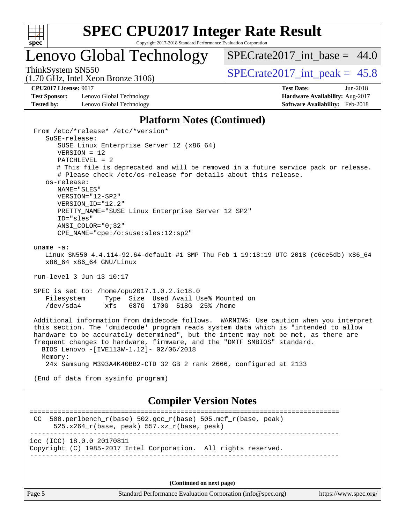

## Lenovo Global Technology

SPECrate2017 int\_base =  $44.0$ 

(1.70 GHz, Intel Xeon Bronze 3106)

ThinkSystem SN550  $SPECrate2017$  int peak = 45.8

**[CPU2017 License:](http://www.spec.org/auto/cpu2017/Docs/result-fields.html#CPU2017License)** 9017 **[Test Date:](http://www.spec.org/auto/cpu2017/Docs/result-fields.html#TestDate)** Jun-2018

**[Test Sponsor:](http://www.spec.org/auto/cpu2017/Docs/result-fields.html#TestSponsor)** Lenovo Global Technology **[Hardware Availability:](http://www.spec.org/auto/cpu2017/Docs/result-fields.html#HardwareAvailability)** Aug-2017 **[Tested by:](http://www.spec.org/auto/cpu2017/Docs/result-fields.html#Testedby)** Lenovo Global Technology **[Software Availability:](http://www.spec.org/auto/cpu2017/Docs/result-fields.html#SoftwareAvailability)** Feb-2018

### **[Platform Notes \(Continued\)](http://www.spec.org/auto/cpu2017/Docs/result-fields.html#PlatformNotes)**

 From /etc/\*release\* /etc/\*version\* SuSE-release: SUSE Linux Enterprise Server 12 (x86\_64) VERSION = 12 PATCHLEVEL = 2 # This file is deprecated and will be removed in a future service pack or release. # Please check /etc/os-release for details about this release. os-release: NAME="SLES" VERSION="12-SP2" VERSION\_ID="12.2" PRETTY NAME="SUSE Linux Enterprise Server 12 SP2" ID="sles" ANSI\_COLOR="0;32" CPE\_NAME="cpe:/o:suse:sles:12:sp2" uname -a: Linux SN550 4.4.114-92.64-default #1 SMP Thu Feb 1 19:18:19 UTC 2018 (c6ce5db) x86\_64 x86\_64 x86\_64 GNU/Linux run-level 3 Jun 13 10:17 SPEC is set to: /home/cpu2017.1.0.2.ic18.0 Filesystem Type Size Used Avail Use% Mounted on /dev/sda4 xfs 687G 170G 518G 25% /home Additional information from dmidecode follows. WARNING: Use caution when you interpret this section. The 'dmidecode' program reads system data which is "intended to allow hardware to be accurately determined", but the intent may not be met, as there are frequent changes to hardware, firmware, and the "DMTF SMBIOS" standard. BIOS Lenovo -[IVE113W-1.12]- 02/06/2018 Memory: 24x Samsung M393A4K40BB2-CTD 32 GB 2 rank 2666, configured at 2133 (End of data from sysinfo program) **[Compiler Version Notes](http://www.spec.org/auto/cpu2017/Docs/result-fields.html#CompilerVersionNotes)** ============================================================================== CC 500.perlbench  $r(base)$  502.gcc  $r(base)$  505.mcf  $r(base, peak)$  525.x264\_r(base, peak) 557.xz\_r(base, peak) ----------------------------------------------------------------------------- icc (ICC) 18.0.0 20170811 Copyright (C) 1985-2017 Intel Corporation. All rights reserved. ------------------------------------------------------------------------------

**(Continued on next page)**

Page 5 Standard Performance Evaluation Corporation [\(info@spec.org\)](mailto:info@spec.org) <https://www.spec.org/>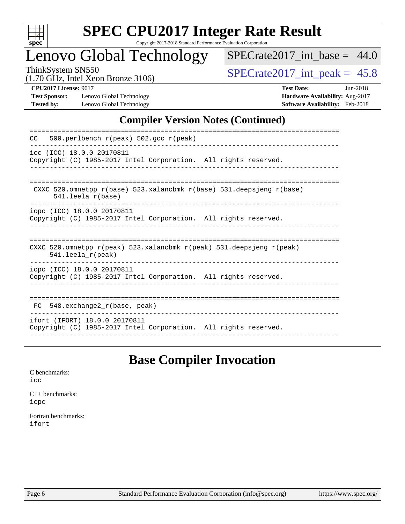

# **[SPEC CPU2017 Integer Rate Result](http://www.spec.org/auto/cpu2017/Docs/result-fields.html#SPECCPU2017IntegerRateResult)**

Copyright 2017-2018 Standard Performance Evaluation Corporation

## Lenovo Global Technology

 $SPECTate2017\_int\_base = 44.0$ 

(1.70 GHz, Intel Xeon Bronze 3106)

ThinkSystem SN550<br>(1.70 GHz, Intel Year Bronze 3106) [SPECrate2017\\_int\\_peak =](http://www.spec.org/auto/cpu2017/Docs/result-fields.html#SPECrate2017intpeak)  $45.8$ 

**[Test Sponsor:](http://www.spec.org/auto/cpu2017/Docs/result-fields.html#TestSponsor)** Lenovo Global Technology **[Hardware Availability:](http://www.spec.org/auto/cpu2017/Docs/result-fields.html#HardwareAvailability)** Aug-2017 **[Tested by:](http://www.spec.org/auto/cpu2017/Docs/result-fields.html#Testedby)** Lenovo Global Technology **[Software Availability:](http://www.spec.org/auto/cpu2017/Docs/result-fields.html#SoftwareAvailability)** Feb-2018

**[CPU2017 License:](http://www.spec.org/auto/cpu2017/Docs/result-fields.html#CPU2017License)** 9017 **[Test Date:](http://www.spec.org/auto/cpu2017/Docs/result-fields.html#TestDate)** Jun-2018

### **[Compiler Version Notes \(Continued\)](http://www.spec.org/auto/cpu2017/Docs/result-fields.html#CompilerVersionNotes)**

| 500.perlbench $r(\text{peak})$ 502.gcc $r(\text{peak})$<br>CC.                                                             |
|----------------------------------------------------------------------------------------------------------------------------|
| icc (ICC) 18.0.0 20170811<br>Copyright (C) 1985-2017 Intel Corporation. All rights reserved.                               |
| CXXC 520.omnetpp $r(base)$ 523.xalancbmk $r(base)$ 531.deepsjeng $r(base)$<br>$541.$ leela $r(base)$                       |
| icpc (ICC) 18.0.0 20170811<br>Copyright (C) 1985-2017 Intel Corporation. All rights reserved.                              |
| CXXC 520.omnetpp $r(\text{peak})$ 523.xalancbmk $r(\text{peak})$ 531.deepsjeng $r(\text{peak})$<br>$541.$ leela $r$ (peak) |
| icpc (ICC) 18.0.0 20170811<br>Copyright (C) 1985-2017 Intel Corporation. All rights reserved.                              |
| 548.exchange2 r(base, peak)<br>FC                                                                                          |
| ifort (IFORT) 18.0.0 20170811<br>Copyright (C) 1985-2017 Intel Corporation. All rights reserved.                           |

## **[Base Compiler Invocation](http://www.spec.org/auto/cpu2017/Docs/result-fields.html#BaseCompilerInvocation)**

[C benchmarks](http://www.spec.org/auto/cpu2017/Docs/result-fields.html#Cbenchmarks): [icc](http://www.spec.org/cpu2017/results/res2018q3/cpu2017-20180619-07110.flags.html#user_CCbase_intel_icc_18.0_66fc1ee009f7361af1fbd72ca7dcefbb700085f36577c54f309893dd4ec40d12360134090235512931783d35fd58c0460139e722d5067c5574d8eaf2b3e37e92)

[C++ benchmarks:](http://www.spec.org/auto/cpu2017/Docs/result-fields.html#CXXbenchmarks) [icpc](http://www.spec.org/cpu2017/results/res2018q3/cpu2017-20180619-07110.flags.html#user_CXXbase_intel_icpc_18.0_c510b6838c7f56d33e37e94d029a35b4a7bccf4766a728ee175e80a419847e808290a9b78be685c44ab727ea267ec2f070ec5dc83b407c0218cded6866a35d07)

[Fortran benchmarks](http://www.spec.org/auto/cpu2017/Docs/result-fields.html#Fortranbenchmarks): [ifort](http://www.spec.org/cpu2017/results/res2018q3/cpu2017-20180619-07110.flags.html#user_FCbase_intel_ifort_18.0_8111460550e3ca792625aed983ce982f94888b8b503583aa7ba2b8303487b4d8a21a13e7191a45c5fd58ff318f48f9492884d4413fa793fd88dd292cad7027ca)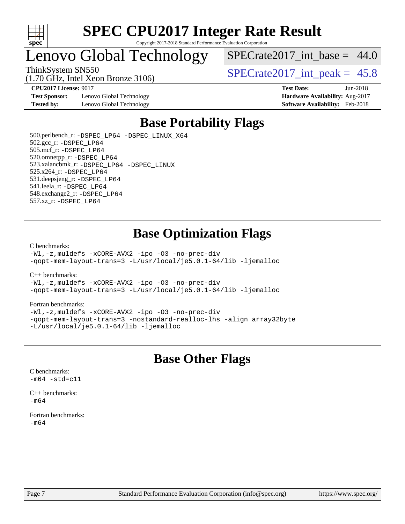

## Lenovo Global Technology

(1.70 GHz, Intel Xeon Bronze 3106)

SPECrate2017 int\_base =  $44.0$ 

ThinkSystem SN550  $SPECrate2017$  int peak = 45.8

**[CPU2017 License:](http://www.spec.org/auto/cpu2017/Docs/result-fields.html#CPU2017License)** 9017 **[Test Date:](http://www.spec.org/auto/cpu2017/Docs/result-fields.html#TestDate)** Jun-2018

**[Test Sponsor:](http://www.spec.org/auto/cpu2017/Docs/result-fields.html#TestSponsor)** Lenovo Global Technology **[Hardware Availability:](http://www.spec.org/auto/cpu2017/Docs/result-fields.html#HardwareAvailability)** Aug-2017 **[Tested by:](http://www.spec.org/auto/cpu2017/Docs/result-fields.html#Testedby)** Lenovo Global Technology **[Software Availability:](http://www.spec.org/auto/cpu2017/Docs/result-fields.html#SoftwareAvailability)** Feb-2018

# **[Base Portability Flags](http://www.spec.org/auto/cpu2017/Docs/result-fields.html#BasePortabilityFlags)**

 500.perlbench\_r: [-DSPEC\\_LP64](http://www.spec.org/cpu2017/results/res2018q3/cpu2017-20180619-07110.flags.html#b500.perlbench_r_basePORTABILITY_DSPEC_LP64) [-DSPEC\\_LINUX\\_X64](http://www.spec.org/cpu2017/results/res2018q3/cpu2017-20180619-07110.flags.html#b500.perlbench_r_baseCPORTABILITY_DSPEC_LINUX_X64) 502.gcc\_r: [-DSPEC\\_LP64](http://www.spec.org/cpu2017/results/res2018q3/cpu2017-20180619-07110.flags.html#suite_basePORTABILITY502_gcc_r_DSPEC_LP64) 505.mcf\_r: [-DSPEC\\_LP64](http://www.spec.org/cpu2017/results/res2018q3/cpu2017-20180619-07110.flags.html#suite_basePORTABILITY505_mcf_r_DSPEC_LP64) 520.omnetpp\_r: [-DSPEC\\_LP64](http://www.spec.org/cpu2017/results/res2018q3/cpu2017-20180619-07110.flags.html#suite_basePORTABILITY520_omnetpp_r_DSPEC_LP64) 523.xalancbmk\_r: [-DSPEC\\_LP64](http://www.spec.org/cpu2017/results/res2018q3/cpu2017-20180619-07110.flags.html#suite_basePORTABILITY523_xalancbmk_r_DSPEC_LP64) [-DSPEC\\_LINUX](http://www.spec.org/cpu2017/results/res2018q3/cpu2017-20180619-07110.flags.html#b523.xalancbmk_r_baseCXXPORTABILITY_DSPEC_LINUX) 525.x264\_r: [-DSPEC\\_LP64](http://www.spec.org/cpu2017/results/res2018q3/cpu2017-20180619-07110.flags.html#suite_basePORTABILITY525_x264_r_DSPEC_LP64) 531.deepsjeng\_r: [-DSPEC\\_LP64](http://www.spec.org/cpu2017/results/res2018q3/cpu2017-20180619-07110.flags.html#suite_basePORTABILITY531_deepsjeng_r_DSPEC_LP64) 541.leela\_r: [-DSPEC\\_LP64](http://www.spec.org/cpu2017/results/res2018q3/cpu2017-20180619-07110.flags.html#suite_basePORTABILITY541_leela_r_DSPEC_LP64) 548.exchange2\_r: [-DSPEC\\_LP64](http://www.spec.org/cpu2017/results/res2018q3/cpu2017-20180619-07110.flags.html#suite_basePORTABILITY548_exchange2_r_DSPEC_LP64) 557.xz\_r: [-DSPEC\\_LP64](http://www.spec.org/cpu2017/results/res2018q3/cpu2017-20180619-07110.flags.html#suite_basePORTABILITY557_xz_r_DSPEC_LP64)

## **[Base Optimization Flags](http://www.spec.org/auto/cpu2017/Docs/result-fields.html#BaseOptimizationFlags)**

### [C benchmarks](http://www.spec.org/auto/cpu2017/Docs/result-fields.html#Cbenchmarks):

[-Wl,-z,muldefs](http://www.spec.org/cpu2017/results/res2018q3/cpu2017-20180619-07110.flags.html#user_CCbase_link_force_multiple1_b4cbdb97b34bdee9ceefcfe54f4c8ea74255f0b02a4b23e853cdb0e18eb4525ac79b5a88067c842dd0ee6996c24547a27a4b99331201badda8798ef8a743f577) [-xCORE-AVX2](http://www.spec.org/cpu2017/results/res2018q3/cpu2017-20180619-07110.flags.html#user_CCbase_f-xCORE-AVX2) [-ipo](http://www.spec.org/cpu2017/results/res2018q3/cpu2017-20180619-07110.flags.html#user_CCbase_f-ipo) [-O3](http://www.spec.org/cpu2017/results/res2018q3/cpu2017-20180619-07110.flags.html#user_CCbase_f-O3) [-no-prec-div](http://www.spec.org/cpu2017/results/res2018q3/cpu2017-20180619-07110.flags.html#user_CCbase_f-no-prec-div) [-qopt-mem-layout-trans=3](http://www.spec.org/cpu2017/results/res2018q3/cpu2017-20180619-07110.flags.html#user_CCbase_f-qopt-mem-layout-trans_de80db37974c74b1f0e20d883f0b675c88c3b01e9d123adea9b28688d64333345fb62bc4a798493513fdb68f60282f9a726aa07f478b2f7113531aecce732043) [-L/usr/local/je5.0.1-64/lib](http://www.spec.org/cpu2017/results/res2018q3/cpu2017-20180619-07110.flags.html#user_CCbase_jemalloc_link_path64_4b10a636b7bce113509b17f3bd0d6226c5fb2346b9178c2d0232c14f04ab830f976640479e5c33dc2bcbbdad86ecfb6634cbbd4418746f06f368b512fced5394) [-ljemalloc](http://www.spec.org/cpu2017/results/res2018q3/cpu2017-20180619-07110.flags.html#user_CCbase_jemalloc_link_lib_d1249b907c500fa1c0672f44f562e3d0f79738ae9e3c4a9c376d49f265a04b9c99b167ecedbf6711b3085be911c67ff61f150a17b3472be731631ba4d0471706)

[C++ benchmarks:](http://www.spec.org/auto/cpu2017/Docs/result-fields.html#CXXbenchmarks)

[-Wl,-z,muldefs](http://www.spec.org/cpu2017/results/res2018q3/cpu2017-20180619-07110.flags.html#user_CXXbase_link_force_multiple1_b4cbdb97b34bdee9ceefcfe54f4c8ea74255f0b02a4b23e853cdb0e18eb4525ac79b5a88067c842dd0ee6996c24547a27a4b99331201badda8798ef8a743f577) [-xCORE-AVX2](http://www.spec.org/cpu2017/results/res2018q3/cpu2017-20180619-07110.flags.html#user_CXXbase_f-xCORE-AVX2) [-ipo](http://www.spec.org/cpu2017/results/res2018q3/cpu2017-20180619-07110.flags.html#user_CXXbase_f-ipo) [-O3](http://www.spec.org/cpu2017/results/res2018q3/cpu2017-20180619-07110.flags.html#user_CXXbase_f-O3) [-no-prec-div](http://www.spec.org/cpu2017/results/res2018q3/cpu2017-20180619-07110.flags.html#user_CXXbase_f-no-prec-div) [-qopt-mem-layout-trans=3](http://www.spec.org/cpu2017/results/res2018q3/cpu2017-20180619-07110.flags.html#user_CXXbase_f-qopt-mem-layout-trans_de80db37974c74b1f0e20d883f0b675c88c3b01e9d123adea9b28688d64333345fb62bc4a798493513fdb68f60282f9a726aa07f478b2f7113531aecce732043) [-L/usr/local/je5.0.1-64/lib](http://www.spec.org/cpu2017/results/res2018q3/cpu2017-20180619-07110.flags.html#user_CXXbase_jemalloc_link_path64_4b10a636b7bce113509b17f3bd0d6226c5fb2346b9178c2d0232c14f04ab830f976640479e5c33dc2bcbbdad86ecfb6634cbbd4418746f06f368b512fced5394) [-ljemalloc](http://www.spec.org/cpu2017/results/res2018q3/cpu2017-20180619-07110.flags.html#user_CXXbase_jemalloc_link_lib_d1249b907c500fa1c0672f44f562e3d0f79738ae9e3c4a9c376d49f265a04b9c99b167ecedbf6711b3085be911c67ff61f150a17b3472be731631ba4d0471706)

### [Fortran benchmarks](http://www.spec.org/auto/cpu2017/Docs/result-fields.html#Fortranbenchmarks):

[-Wl,-z,muldefs](http://www.spec.org/cpu2017/results/res2018q3/cpu2017-20180619-07110.flags.html#user_FCbase_link_force_multiple1_b4cbdb97b34bdee9ceefcfe54f4c8ea74255f0b02a4b23e853cdb0e18eb4525ac79b5a88067c842dd0ee6996c24547a27a4b99331201badda8798ef8a743f577) [-xCORE-AVX2](http://www.spec.org/cpu2017/results/res2018q3/cpu2017-20180619-07110.flags.html#user_FCbase_f-xCORE-AVX2) [-ipo](http://www.spec.org/cpu2017/results/res2018q3/cpu2017-20180619-07110.flags.html#user_FCbase_f-ipo) [-O3](http://www.spec.org/cpu2017/results/res2018q3/cpu2017-20180619-07110.flags.html#user_FCbase_f-O3) [-no-prec-div](http://www.spec.org/cpu2017/results/res2018q3/cpu2017-20180619-07110.flags.html#user_FCbase_f-no-prec-div) [-qopt-mem-layout-trans=3](http://www.spec.org/cpu2017/results/res2018q3/cpu2017-20180619-07110.flags.html#user_FCbase_f-qopt-mem-layout-trans_de80db37974c74b1f0e20d883f0b675c88c3b01e9d123adea9b28688d64333345fb62bc4a798493513fdb68f60282f9a726aa07f478b2f7113531aecce732043) [-nostandard-realloc-lhs](http://www.spec.org/cpu2017/results/res2018q3/cpu2017-20180619-07110.flags.html#user_FCbase_f_2003_std_realloc_82b4557e90729c0f113870c07e44d33d6f5a304b4f63d4c15d2d0f1fab99f5daaed73bdb9275d9ae411527f28b936061aa8b9c8f2d63842963b95c9dd6426b8a) [-align array32byte](http://www.spec.org/cpu2017/results/res2018q3/cpu2017-20180619-07110.flags.html#user_FCbase_align_array32byte_b982fe038af199962ba9a80c053b8342c548c85b40b8e86eb3cc33dee0d7986a4af373ac2d51c3f7cf710a18d62fdce2948f201cd044323541f22fc0fffc51b6) [-L/usr/local/je5.0.1-64/lib](http://www.spec.org/cpu2017/results/res2018q3/cpu2017-20180619-07110.flags.html#user_FCbase_jemalloc_link_path64_4b10a636b7bce113509b17f3bd0d6226c5fb2346b9178c2d0232c14f04ab830f976640479e5c33dc2bcbbdad86ecfb6634cbbd4418746f06f368b512fced5394) [-ljemalloc](http://www.spec.org/cpu2017/results/res2018q3/cpu2017-20180619-07110.flags.html#user_FCbase_jemalloc_link_lib_d1249b907c500fa1c0672f44f562e3d0f79738ae9e3c4a9c376d49f265a04b9c99b167ecedbf6711b3085be911c67ff61f150a17b3472be731631ba4d0471706)

## **[Base Other Flags](http://www.spec.org/auto/cpu2017/Docs/result-fields.html#BaseOtherFlags)**

[C benchmarks](http://www.spec.org/auto/cpu2017/Docs/result-fields.html#Cbenchmarks):  $-m64 - std= c11$  $-m64 - std= c11$ 

[C++ benchmarks:](http://www.spec.org/auto/cpu2017/Docs/result-fields.html#CXXbenchmarks)  $-m64$ 

[Fortran benchmarks](http://www.spec.org/auto/cpu2017/Docs/result-fields.html#Fortranbenchmarks): [-m64](http://www.spec.org/cpu2017/results/res2018q3/cpu2017-20180619-07110.flags.html#user_FCbase_intel_intel64_18.0_af43caccfc8ded86e7699f2159af6efc7655f51387b94da716254467f3c01020a5059329e2569e4053f409e7c9202a7efc638f7a6d1ffb3f52dea4a3e31d82ab)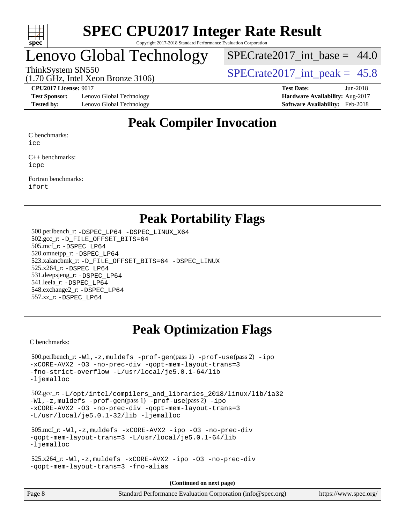

## Lenovo Global Technology

SPECrate2017 int\_base =  $44.0$ 

(1.70 GHz, Intel Xeon Bronze 3106)

**[Test Sponsor:](http://www.spec.org/auto/cpu2017/Docs/result-fields.html#TestSponsor)** Lenovo Global Technology **[Hardware Availability:](http://www.spec.org/auto/cpu2017/Docs/result-fields.html#HardwareAvailability)** Aug-2017 **[Tested by:](http://www.spec.org/auto/cpu2017/Docs/result-fields.html#Testedby)** Lenovo Global Technology **[Software Availability:](http://www.spec.org/auto/cpu2017/Docs/result-fields.html#SoftwareAvailability)** Feb-2018

ThinkSystem SN550  $SPECrate2017$  int peak = 45.8

**[CPU2017 License:](http://www.spec.org/auto/cpu2017/Docs/result-fields.html#CPU2017License)** 9017 **[Test Date:](http://www.spec.org/auto/cpu2017/Docs/result-fields.html#TestDate)** Jun-2018

## **[Peak Compiler Invocation](http://www.spec.org/auto/cpu2017/Docs/result-fields.html#PeakCompilerInvocation)**

[C benchmarks:](http://www.spec.org/auto/cpu2017/Docs/result-fields.html#Cbenchmarks)

[icc](http://www.spec.org/cpu2017/results/res2018q3/cpu2017-20180619-07110.flags.html#user_CCpeak_intel_icc_18.0_66fc1ee009f7361af1fbd72ca7dcefbb700085f36577c54f309893dd4ec40d12360134090235512931783d35fd58c0460139e722d5067c5574d8eaf2b3e37e92)

[C++ benchmarks:](http://www.spec.org/auto/cpu2017/Docs/result-fields.html#CXXbenchmarks) [icpc](http://www.spec.org/cpu2017/results/res2018q3/cpu2017-20180619-07110.flags.html#user_CXXpeak_intel_icpc_18.0_c510b6838c7f56d33e37e94d029a35b4a7bccf4766a728ee175e80a419847e808290a9b78be685c44ab727ea267ec2f070ec5dc83b407c0218cded6866a35d07)

[Fortran benchmarks](http://www.spec.org/auto/cpu2017/Docs/result-fields.html#Fortranbenchmarks): [ifort](http://www.spec.org/cpu2017/results/res2018q3/cpu2017-20180619-07110.flags.html#user_FCpeak_intel_ifort_18.0_8111460550e3ca792625aed983ce982f94888b8b503583aa7ba2b8303487b4d8a21a13e7191a45c5fd58ff318f48f9492884d4413fa793fd88dd292cad7027ca)

## **[Peak Portability Flags](http://www.spec.org/auto/cpu2017/Docs/result-fields.html#PeakPortabilityFlags)**

 500.perlbench\_r: [-DSPEC\\_LP64](http://www.spec.org/cpu2017/results/res2018q3/cpu2017-20180619-07110.flags.html#b500.perlbench_r_peakPORTABILITY_DSPEC_LP64) [-DSPEC\\_LINUX\\_X64](http://www.spec.org/cpu2017/results/res2018q3/cpu2017-20180619-07110.flags.html#b500.perlbench_r_peakCPORTABILITY_DSPEC_LINUX_X64) 502.gcc\_r: [-D\\_FILE\\_OFFSET\\_BITS=64](http://www.spec.org/cpu2017/results/res2018q3/cpu2017-20180619-07110.flags.html#user_peakPORTABILITY502_gcc_r_file_offset_bits_64_5ae949a99b284ddf4e95728d47cb0843d81b2eb0e18bdfe74bbf0f61d0b064f4bda2f10ea5eb90e1dcab0e84dbc592acfc5018bc955c18609f94ddb8d550002c) 505.mcf\_r: [-DSPEC\\_LP64](http://www.spec.org/cpu2017/results/res2018q3/cpu2017-20180619-07110.flags.html#suite_peakPORTABILITY505_mcf_r_DSPEC_LP64) 520.omnetpp\_r: [-DSPEC\\_LP64](http://www.spec.org/cpu2017/results/res2018q3/cpu2017-20180619-07110.flags.html#suite_peakPORTABILITY520_omnetpp_r_DSPEC_LP64) 523.xalancbmk\_r: [-D\\_FILE\\_OFFSET\\_BITS=64](http://www.spec.org/cpu2017/results/res2018q3/cpu2017-20180619-07110.flags.html#user_peakPORTABILITY523_xalancbmk_r_file_offset_bits_64_5ae949a99b284ddf4e95728d47cb0843d81b2eb0e18bdfe74bbf0f61d0b064f4bda2f10ea5eb90e1dcab0e84dbc592acfc5018bc955c18609f94ddb8d550002c) [-DSPEC\\_LINUX](http://www.spec.org/cpu2017/results/res2018q3/cpu2017-20180619-07110.flags.html#b523.xalancbmk_r_peakCXXPORTABILITY_DSPEC_LINUX) 525.x264\_r: [-DSPEC\\_LP64](http://www.spec.org/cpu2017/results/res2018q3/cpu2017-20180619-07110.flags.html#suite_peakPORTABILITY525_x264_r_DSPEC_LP64) 531.deepsjeng\_r: [-DSPEC\\_LP64](http://www.spec.org/cpu2017/results/res2018q3/cpu2017-20180619-07110.flags.html#suite_peakPORTABILITY531_deepsjeng_r_DSPEC_LP64) 541.leela\_r: [-DSPEC\\_LP64](http://www.spec.org/cpu2017/results/res2018q3/cpu2017-20180619-07110.flags.html#suite_peakPORTABILITY541_leela_r_DSPEC_LP64) 548.exchange2\_r: [-DSPEC\\_LP64](http://www.spec.org/cpu2017/results/res2018q3/cpu2017-20180619-07110.flags.html#suite_peakPORTABILITY548_exchange2_r_DSPEC_LP64) 557.xz\_r: [-DSPEC\\_LP64](http://www.spec.org/cpu2017/results/res2018q3/cpu2017-20180619-07110.flags.html#suite_peakPORTABILITY557_xz_r_DSPEC_LP64)

## **[Peak Optimization Flags](http://www.spec.org/auto/cpu2017/Docs/result-fields.html#PeakOptimizationFlags)**

[C benchmarks](http://www.spec.org/auto/cpu2017/Docs/result-fields.html#Cbenchmarks):

```
 500.perlbench_r: -Wl,-z,muldefs -prof-gen(pass 1) -prof-use(pass 2) -ipo
-xCORE-AVX2 -O3 -no-prec-div -qopt-mem-layout-trans=3
-fno-strict-overflow -L/usr/local/je5.0.1-64/lib
-ljemalloc
 502.gcc_r: -L/opt/intel/compilers_and_libraries_2018/linux/lib/ia32
-Wl,-z,muldefs -prof-gen(pass 1) -prof-use(pass 2) -ipo
-xCORE-AVX2 -O3 -no-prec-div -qopt-mem-layout-trans=3
-L/usr/local/je5.0.1-32/lib -ljemalloc
 505.mcf_r: -Wl,-z,muldefs -xCORE-AVX2 -ipo -O3 -no-prec-div
-qopt-mem-layout-trans=3 -L/usr/local/je5.0.1-64/lib
-ljemalloc
 525.x264_r: -Wl,-z,muldefs -xCORE-AVX2 -ipo -O3 -no-prec-div
-qopt-mem-layout-trans=3 -fno-alias
                                     (Continued on next page)
```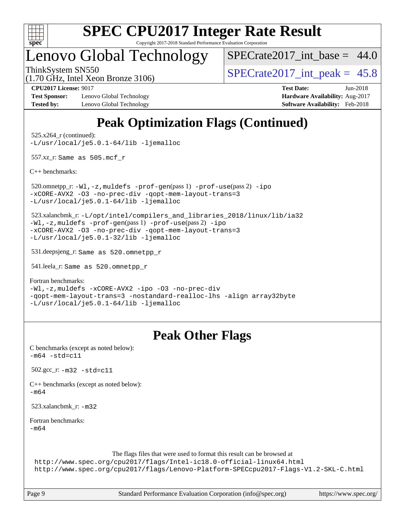

# **[SPEC CPU2017 Integer Rate Result](http://www.spec.org/auto/cpu2017/Docs/result-fields.html#SPECCPU2017IntegerRateResult)**

Copyright 2017-2018 Standard Performance Evaluation Corporation

## Lenovo Global Technology

SPECrate2017 int\_base =  $44.0$ 

ThinkSystem SN550  $SPECrate2017$  int peak = 45.8

**[Test Sponsor:](http://www.spec.org/auto/cpu2017/Docs/result-fields.html#TestSponsor)** Lenovo Global Technology **[Hardware Availability:](http://www.spec.org/auto/cpu2017/Docs/result-fields.html#HardwareAvailability)** Aug-2017 **[Tested by:](http://www.spec.org/auto/cpu2017/Docs/result-fields.html#Testedby)** Lenovo Global Technology **[Software Availability:](http://www.spec.org/auto/cpu2017/Docs/result-fields.html#SoftwareAvailability)** Feb-2018

(1.70 GHz, Intel Xeon Bronze 3106)

**[CPU2017 License:](http://www.spec.org/auto/cpu2017/Docs/result-fields.html#CPU2017License)** 9017 **[Test Date:](http://www.spec.org/auto/cpu2017/Docs/result-fields.html#TestDate)** Jun-2018

## **[Peak Optimization Flags \(Continued\)](http://www.spec.org/auto/cpu2017/Docs/result-fields.html#PeakOptimizationFlags)**

 525.x264\_r (continued): [-L/usr/local/je5.0.1-64/lib](http://www.spec.org/cpu2017/results/res2018q3/cpu2017-20180619-07110.flags.html#user_peakEXTRA_LIBS525_x264_r_jemalloc_link_path64_4b10a636b7bce113509b17f3bd0d6226c5fb2346b9178c2d0232c14f04ab830f976640479e5c33dc2bcbbdad86ecfb6634cbbd4418746f06f368b512fced5394) [-ljemalloc](http://www.spec.org/cpu2017/results/res2018q3/cpu2017-20180619-07110.flags.html#user_peakEXTRA_LIBS525_x264_r_jemalloc_link_lib_d1249b907c500fa1c0672f44f562e3d0f79738ae9e3c4a9c376d49f265a04b9c99b167ecedbf6711b3085be911c67ff61f150a17b3472be731631ba4d0471706)

557.xz\_r: Same as 505.mcf\_r

[C++ benchmarks:](http://www.spec.org/auto/cpu2017/Docs/result-fields.html#CXXbenchmarks)

 520.omnetpp\_r: [-Wl,-z,muldefs](http://www.spec.org/cpu2017/results/res2018q3/cpu2017-20180619-07110.flags.html#user_peakEXTRA_LDFLAGS520_omnetpp_r_link_force_multiple1_b4cbdb97b34bdee9ceefcfe54f4c8ea74255f0b02a4b23e853cdb0e18eb4525ac79b5a88067c842dd0ee6996c24547a27a4b99331201badda8798ef8a743f577) [-prof-gen](http://www.spec.org/cpu2017/results/res2018q3/cpu2017-20180619-07110.flags.html#user_peakPASS1_CXXFLAGSPASS1_LDFLAGS520_omnetpp_r_prof_gen_5aa4926d6013ddb2a31985c654b3eb18169fc0c6952a63635c234f711e6e63dd76e94ad52365559451ec499a2cdb89e4dc58ba4c67ef54ca681ffbe1461d6b36)(pass 1) [-prof-use](http://www.spec.org/cpu2017/results/res2018q3/cpu2017-20180619-07110.flags.html#user_peakPASS2_CXXFLAGSPASS2_LDFLAGS520_omnetpp_r_prof_use_1a21ceae95f36a2b53c25747139a6c16ca95bd9def2a207b4f0849963b97e94f5260e30a0c64f4bb623698870e679ca08317ef8150905d41bd88c6f78df73f19)(pass 2) [-ipo](http://www.spec.org/cpu2017/results/res2018q3/cpu2017-20180619-07110.flags.html#user_peakPASS1_CXXOPTIMIZEPASS2_CXXOPTIMIZE520_omnetpp_r_f-ipo) [-xCORE-AVX2](http://www.spec.org/cpu2017/results/res2018q3/cpu2017-20180619-07110.flags.html#user_peakPASS2_CXXOPTIMIZE520_omnetpp_r_f-xCORE-AVX2) [-O3](http://www.spec.org/cpu2017/results/res2018q3/cpu2017-20180619-07110.flags.html#user_peakPASS1_CXXOPTIMIZEPASS2_CXXOPTIMIZE520_omnetpp_r_f-O3) [-no-prec-div](http://www.spec.org/cpu2017/results/res2018q3/cpu2017-20180619-07110.flags.html#user_peakPASS1_CXXOPTIMIZEPASS2_CXXOPTIMIZE520_omnetpp_r_f-no-prec-div) [-qopt-mem-layout-trans=3](http://www.spec.org/cpu2017/results/res2018q3/cpu2017-20180619-07110.flags.html#user_peakPASS1_CXXOPTIMIZEPASS2_CXXOPTIMIZE520_omnetpp_r_f-qopt-mem-layout-trans_de80db37974c74b1f0e20d883f0b675c88c3b01e9d123adea9b28688d64333345fb62bc4a798493513fdb68f60282f9a726aa07f478b2f7113531aecce732043) [-L/usr/local/je5.0.1-64/lib](http://www.spec.org/cpu2017/results/res2018q3/cpu2017-20180619-07110.flags.html#user_peakEXTRA_LIBS520_omnetpp_r_jemalloc_link_path64_4b10a636b7bce113509b17f3bd0d6226c5fb2346b9178c2d0232c14f04ab830f976640479e5c33dc2bcbbdad86ecfb6634cbbd4418746f06f368b512fced5394) [-ljemalloc](http://www.spec.org/cpu2017/results/res2018q3/cpu2017-20180619-07110.flags.html#user_peakEXTRA_LIBS520_omnetpp_r_jemalloc_link_lib_d1249b907c500fa1c0672f44f562e3d0f79738ae9e3c4a9c376d49f265a04b9c99b167ecedbf6711b3085be911c67ff61f150a17b3472be731631ba4d0471706)

 523.xalancbmk\_r: [-L/opt/intel/compilers\\_and\\_libraries\\_2018/linux/lib/ia32](http://www.spec.org/cpu2017/results/res2018q3/cpu2017-20180619-07110.flags.html#user_peakCXXLD523_xalancbmk_r_Enable-32bit-runtime_af243bdb1d79e4c7a4f720bf8275e627de2ecd461de63307bc14cef0633fde3cd7bb2facb32dcc8be9566045fb55d40ce2b72b725f73827aa7833441b71b9343) [-Wl,-z,muldefs](http://www.spec.org/cpu2017/results/res2018q3/cpu2017-20180619-07110.flags.html#user_peakEXTRA_LDFLAGS523_xalancbmk_r_link_force_multiple1_b4cbdb97b34bdee9ceefcfe54f4c8ea74255f0b02a4b23e853cdb0e18eb4525ac79b5a88067c842dd0ee6996c24547a27a4b99331201badda8798ef8a743f577) [-prof-gen](http://www.spec.org/cpu2017/results/res2018q3/cpu2017-20180619-07110.flags.html#user_peakPASS1_CXXFLAGSPASS1_LDFLAGS523_xalancbmk_r_prof_gen_5aa4926d6013ddb2a31985c654b3eb18169fc0c6952a63635c234f711e6e63dd76e94ad52365559451ec499a2cdb89e4dc58ba4c67ef54ca681ffbe1461d6b36)(pass 1) [-prof-use](http://www.spec.org/cpu2017/results/res2018q3/cpu2017-20180619-07110.flags.html#user_peakPASS2_CXXFLAGSPASS2_LDFLAGS523_xalancbmk_r_prof_use_1a21ceae95f36a2b53c25747139a6c16ca95bd9def2a207b4f0849963b97e94f5260e30a0c64f4bb623698870e679ca08317ef8150905d41bd88c6f78df73f19)(pass 2) [-ipo](http://www.spec.org/cpu2017/results/res2018q3/cpu2017-20180619-07110.flags.html#user_peakPASS1_CXXOPTIMIZEPASS2_CXXOPTIMIZE523_xalancbmk_r_f-ipo) [-xCORE-AVX2](http://www.spec.org/cpu2017/results/res2018q3/cpu2017-20180619-07110.flags.html#user_peakPASS2_CXXOPTIMIZE523_xalancbmk_r_f-xCORE-AVX2) [-O3](http://www.spec.org/cpu2017/results/res2018q3/cpu2017-20180619-07110.flags.html#user_peakPASS1_CXXOPTIMIZEPASS2_CXXOPTIMIZE523_xalancbmk_r_f-O3) [-no-prec-div](http://www.spec.org/cpu2017/results/res2018q3/cpu2017-20180619-07110.flags.html#user_peakPASS1_CXXOPTIMIZEPASS2_CXXOPTIMIZE523_xalancbmk_r_f-no-prec-div) [-qopt-mem-layout-trans=3](http://www.spec.org/cpu2017/results/res2018q3/cpu2017-20180619-07110.flags.html#user_peakPASS1_CXXOPTIMIZEPASS2_CXXOPTIMIZE523_xalancbmk_r_f-qopt-mem-layout-trans_de80db37974c74b1f0e20d883f0b675c88c3b01e9d123adea9b28688d64333345fb62bc4a798493513fdb68f60282f9a726aa07f478b2f7113531aecce732043) [-L/usr/local/je5.0.1-32/lib](http://www.spec.org/cpu2017/results/res2018q3/cpu2017-20180619-07110.flags.html#user_peakEXTRA_LIBS523_xalancbmk_r_jemalloc_link_path32_e29f22e8e6c17053bbc6a0971f5a9c01a601a06bb1a59df2084b77a2fe0a2995b64fd4256feaeea39eeba3aae142e96e2b2b0a28974019c0c0c88139a84f900a) [-ljemalloc](http://www.spec.org/cpu2017/results/res2018q3/cpu2017-20180619-07110.flags.html#user_peakEXTRA_LIBS523_xalancbmk_r_jemalloc_link_lib_d1249b907c500fa1c0672f44f562e3d0f79738ae9e3c4a9c376d49f265a04b9c99b167ecedbf6711b3085be911c67ff61f150a17b3472be731631ba4d0471706)

531.deepsjeng\_r: Same as 520.omnetpp\_r

541.leela\_r: Same as 520.omnetpp\_r

[Fortran benchmarks](http://www.spec.org/auto/cpu2017/Docs/result-fields.html#Fortranbenchmarks):

[-Wl,-z,muldefs](http://www.spec.org/cpu2017/results/res2018q3/cpu2017-20180619-07110.flags.html#user_FCpeak_link_force_multiple1_b4cbdb97b34bdee9ceefcfe54f4c8ea74255f0b02a4b23e853cdb0e18eb4525ac79b5a88067c842dd0ee6996c24547a27a4b99331201badda8798ef8a743f577) [-xCORE-AVX2](http://www.spec.org/cpu2017/results/res2018q3/cpu2017-20180619-07110.flags.html#user_FCpeak_f-xCORE-AVX2) [-ipo](http://www.spec.org/cpu2017/results/res2018q3/cpu2017-20180619-07110.flags.html#user_FCpeak_f-ipo) [-O3](http://www.spec.org/cpu2017/results/res2018q3/cpu2017-20180619-07110.flags.html#user_FCpeak_f-O3) [-no-prec-div](http://www.spec.org/cpu2017/results/res2018q3/cpu2017-20180619-07110.flags.html#user_FCpeak_f-no-prec-div) [-qopt-mem-layout-trans=3](http://www.spec.org/cpu2017/results/res2018q3/cpu2017-20180619-07110.flags.html#user_FCpeak_f-qopt-mem-layout-trans_de80db37974c74b1f0e20d883f0b675c88c3b01e9d123adea9b28688d64333345fb62bc4a798493513fdb68f60282f9a726aa07f478b2f7113531aecce732043) [-nostandard-realloc-lhs](http://www.spec.org/cpu2017/results/res2018q3/cpu2017-20180619-07110.flags.html#user_FCpeak_f_2003_std_realloc_82b4557e90729c0f113870c07e44d33d6f5a304b4f63d4c15d2d0f1fab99f5daaed73bdb9275d9ae411527f28b936061aa8b9c8f2d63842963b95c9dd6426b8a) [-align array32byte](http://www.spec.org/cpu2017/results/res2018q3/cpu2017-20180619-07110.flags.html#user_FCpeak_align_array32byte_b982fe038af199962ba9a80c053b8342c548c85b40b8e86eb3cc33dee0d7986a4af373ac2d51c3f7cf710a18d62fdce2948f201cd044323541f22fc0fffc51b6) [-L/usr/local/je5.0.1-64/lib](http://www.spec.org/cpu2017/results/res2018q3/cpu2017-20180619-07110.flags.html#user_FCpeak_jemalloc_link_path64_4b10a636b7bce113509b17f3bd0d6226c5fb2346b9178c2d0232c14f04ab830f976640479e5c33dc2bcbbdad86ecfb6634cbbd4418746f06f368b512fced5394) [-ljemalloc](http://www.spec.org/cpu2017/results/res2018q3/cpu2017-20180619-07110.flags.html#user_FCpeak_jemalloc_link_lib_d1249b907c500fa1c0672f44f562e3d0f79738ae9e3c4a9c376d49f265a04b9c99b167ecedbf6711b3085be911c67ff61f150a17b3472be731631ba4d0471706)

## **[Peak Other Flags](http://www.spec.org/auto/cpu2017/Docs/result-fields.html#PeakOtherFlags)**

| C benchmarks (except as noted below):<br>$-m64 - std = c11$                                                                                                                                                                           |  |
|---------------------------------------------------------------------------------------------------------------------------------------------------------------------------------------------------------------------------------------|--|
| $502.\text{gcc}_r$ : $-m32 - std = c11$                                                                                                                                                                                               |  |
| $C++$ benchmarks (except as noted below):<br>$-m64$                                                                                                                                                                                   |  |
| 523.xalancbmk $r: -m32$                                                                                                                                                                                                               |  |
| Fortran benchmarks:<br>$-m64$                                                                                                                                                                                                         |  |
| The flags files that were used to format this result can be browsed at<br>http://www.spec.org/cpu2017/flags/Intel-ic18.0-official-linux64.html<br>http://www.spec.org/cpu2017/flags/Lenovo-Platform-SPECcpu2017-Flags-V1.2-SKL-C.html |  |